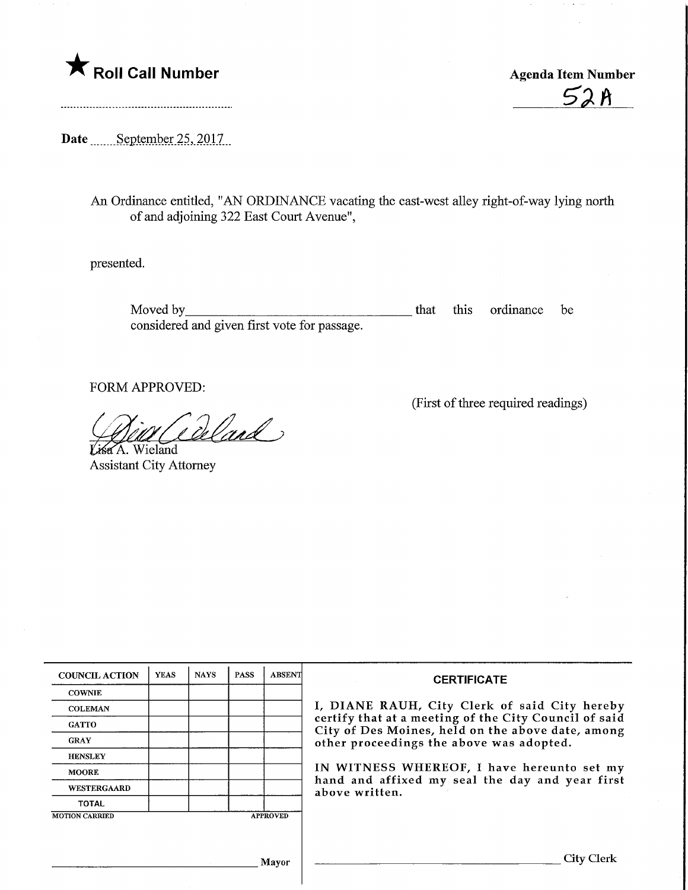

 $52A$ 

Date September 25, 2017

An Ordinance entitled, "AN ORDINANCE vacating the east-west alley right-of-way lying north of and adjoining 322 East Court Avenue",

presented.

Moved by\_ considered and given first vote for passage. that this ordinance be

FORM APPROVED:

Coland }

Assistant City Attorney

(First of three required readings)

| <b>COUNCIL ACTION</b> | <b>YEAS</b> | <b>NAYS</b> | <b>PASS</b> | ABSENT          | <b>CERTIFICATE</b>                                                                                                                                                                                                                                                                                                         |
|-----------------------|-------------|-------------|-------------|-----------------|----------------------------------------------------------------------------------------------------------------------------------------------------------------------------------------------------------------------------------------------------------------------------------------------------------------------------|
| <b>COWNIE</b>         |             |             |             |                 |                                                                                                                                                                                                                                                                                                                            |
| <b>COLEMAN</b>        |             |             |             |                 | I, DIANE RAUH, City Clerk of said City hereby<br>certify that at a meeting of the City Council of said<br>City of Des Moines, held on the above date, among<br>other proceedings the above was adopted.<br>IN WITNESS WHEREOF, I have hereunto set my<br>hand and affixed my seal the day and year first<br>above written. |
| <b>GATTO</b>          |             |             |             |                 |                                                                                                                                                                                                                                                                                                                            |
| <b>GRAY</b>           |             |             |             |                 |                                                                                                                                                                                                                                                                                                                            |
| <b>HENSLEY</b>        |             |             |             |                 |                                                                                                                                                                                                                                                                                                                            |
| <b>MOORE</b>          |             |             |             |                 |                                                                                                                                                                                                                                                                                                                            |
| WESTERGAARD           |             |             |             |                 |                                                                                                                                                                                                                                                                                                                            |
| <b>TOTAL</b>          |             |             |             |                 |                                                                                                                                                                                                                                                                                                                            |
| <b>MOTION CARRIED</b> |             |             |             | <b>APPROVED</b> |                                                                                                                                                                                                                                                                                                                            |
|                       |             |             |             |                 |                                                                                                                                                                                                                                                                                                                            |
|                       |             |             |             |                 |                                                                                                                                                                                                                                                                                                                            |
| Mayor                 |             |             |             |                 | <b>City Clerk</b>                                                                                                                                                                                                                                                                                                          |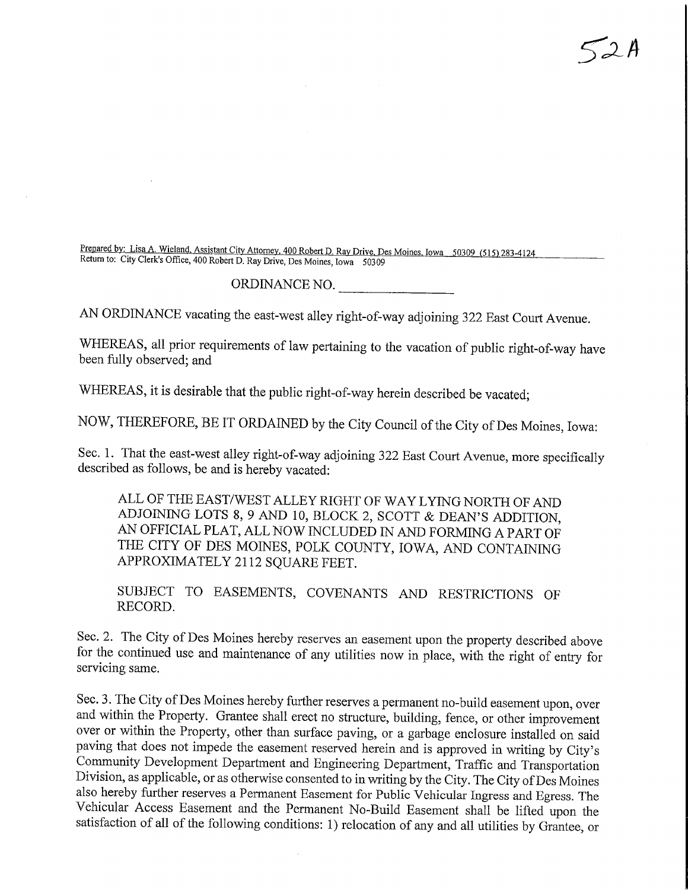Prepared by: Lisa A. Wieland, Assistant City Attorney, 400 Robert D. Ray Drive, Des Moines, Iowa 50309 (515) 283-4124 Return to: City Clerk's Office, 400 Robert D. Ray Drive, Des Moines, Iowa 50309

## ORDINANCE NO.

 $52A$ 

AN ORDINANCE vacating the east-west alley right-of-way adjoining 322 East Court Avenue.

WHEREAS, all prior requirements of law pertaining to the vacation of public right-of-way have been fully observed; and

WHEREAS, it is desirable that the public right-of-way herein described be vacated;

NOW, THEREFORE, BE IT ORDAINED by the City Council of the City of Des Moines, Iowa:

Sec. 1. That the east-west alley right-of-way adjoining 322 East Court Avenue, more specifically described as follows, be and is hereby vacated:

ALL OF THE EAST/WEST ALLEY RIGHT OF WAY LYING NORTH OF AND ADJOINING LOTS 8, 9 AND 10, BLOCK 2, SCOTT & DEAN'S ADDITION, AN OFFICIAL PLAT, ALL NOW INCLUDED IN AND FORMING A PART OF THE CITY OF DES MOINES, POLK COUNTY, IOWA, AND CONTAINING APPROXIMATELY 2112 SQUARE FEET.

SUBJECT TO EASEMENTS, COVENANTS AND RESTRICTIONS OF RECORD.

Sec. 2. The City of Des Moines hereby reserves an easement upon the property described above for the continued use and maintenance of any utilities now in place, with the right of entry for servicing same.

Sec. 3. The City of Des Moines hereby further reserves a permanent no-build easement upon, over and within the Property. Grantee shall erect no structure, building, fence, or other improvement over or within the Property, other than surface paving, or a garbage enclosure installed on said paving that does not impede the easement reserved herein and is approved in writing by City's Community Development Department and Engineering Department, Traffic and Transportation Division, as applicable, or as otherwise consented to in writing by the City. The City of Des Moines also hereby further reserves a Permanent Easement for Public Vehicular Ingress and Egress. The Vehicular Access Easement and the Permanent No-Build Easement shall be lifted upon the satisfaction of all of the following conditions: 1) relocation of any and all utilities by Grantee, or